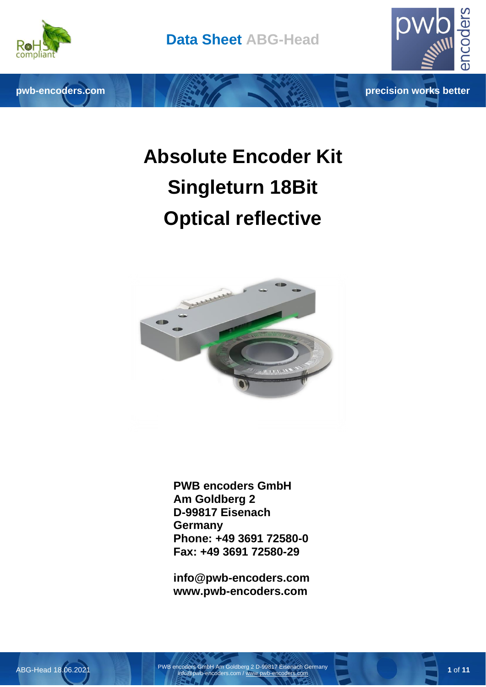

pwb-encoders.com **precision works better** 



# **Absolute Encoder Kit Singleturn 18Bit Optical reflective**



**PWB encoders GmbH Am Goldberg 2 D-99817 Eisenach Germany Phone: +49 3691 72580-0 Fax: +49 3691 72580-29**

**info@pwb-encoders.com www.pwb-encoders.com**

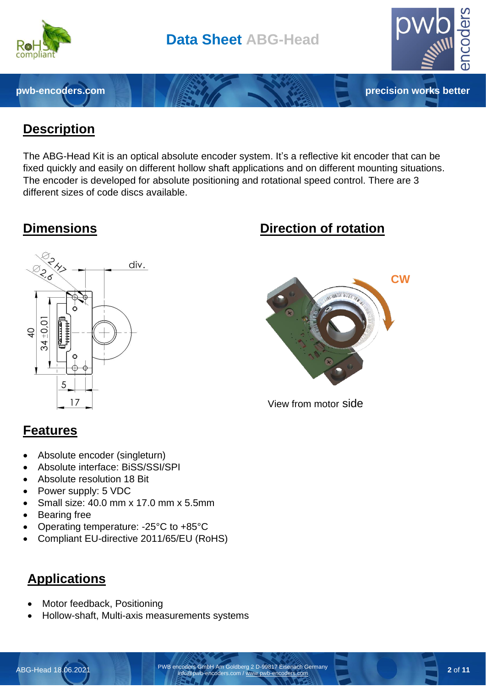

#### **Description**

The ABG-Head Kit is an optical absolute encoder system. It's a reflective kit encoder that can be fixed quickly and easily on different hollow shaft applications and on different mounting situations. The encoder is developed for absolute positioning and rotational speed control. There are 3 different sizes of code discs available.



#### **Features**

- Absolute encoder (singleturn)
- Absolute interface: BiSS/SSI/SPI
- Absolute resolution 18 Bit
- Power supply: 5 VDC
- Small size: 40.0 mm x 17.0 mm x 5.5mm
- **Bearing free**
- Operating temperature: -25°C to +85°C
- Compliant EU-directive 2011/65/EU (RoHS)

# **Applications**

- Motor feedback, Positioning
- Hollow-shaft, Multi-axis measurements systems

# **Dimensions Direction of rotation**



View from motor side

ABG-Head 18.06.2021 PWB encoders GmbH Am Goldberg 2 D-99817 Eisenach Germany info@pwb-encoders.com [/ www.pwb-encoders.com](http://www.pwb-encoders.com/) **2** of **11**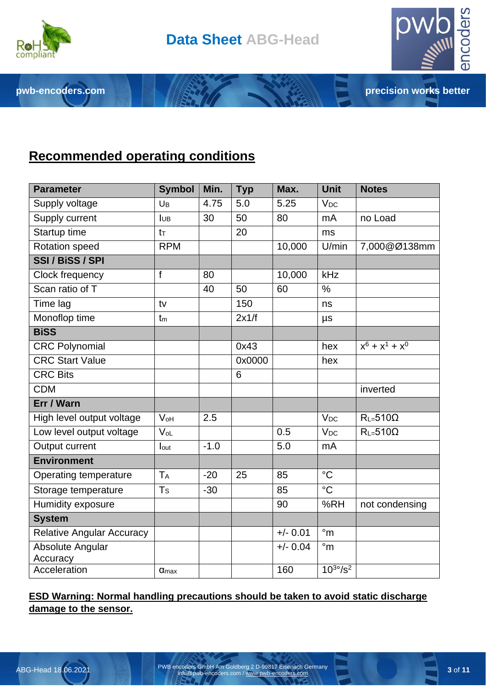

**pwb-encoders.com precision works better** 



#### **Recommended operating conditions**

| <b>Parameter</b>                    | <b>Symbol</b>           | Min.   | <b>Typ</b> | Max.       | Unit                  | <b>Notes</b>      |
|-------------------------------------|-------------------------|--------|------------|------------|-----------------------|-------------------|
| Supply voltage                      | U <sub>B</sub>          | 4.75   | 5.0        | 5.25       | $V_{DC}$              |                   |
| Supply current                      | <b>IUB</b>              | 30     | 50         | 80         | mA                    | no Load           |
| Startup time                        | $t_{\text{T}}$          |        | 20         |            | ms                    |                   |
| Rotation speed                      | <b>RPM</b>              |        |            | 10,000     | U/min                 | 7,000@Ø138mm      |
| SSI / BiSS / SPI                    |                         |        |            |            |                       |                   |
| Clock frequency                     | f                       | 80     |            | 10,000     | kHz                   |                   |
| Scan ratio of T                     |                         | 40     | 50         | 60         | $\frac{0}{0}$         |                   |
| Time lag                            | tv                      |        | 150        |            | ns                    |                   |
| Monoflop time                       | t <sub>m</sub>          |        | 2x1/f      |            | $\mu s$               |                   |
| <b>BiSS</b>                         |                         |        |            |            |                       |                   |
| <b>CRC Polynomial</b>               |                         |        | 0x43       |            | hex                   | $x^6 + x^1 + x^0$ |
| <b>CRC Start Value</b>              |                         |        | 0x0000     |            | hex                   |                   |
| <b>CRC Bits</b>                     |                         |        | 6          |            |                       |                   |
| <b>CDM</b>                          |                         |        |            |            |                       | inverted          |
| Err / Warn                          |                         |        |            |            |                       |                   |
| High level output voltage           | $V_{oH}$                | 2.5    |            |            | V <sub>DC</sub>       | $R_{L=}510\Omega$ |
| Low level output voltage            | $V_{oL}$                |        |            | 0.5        | <b>V<sub>DC</sub></b> | $R_{L=}510\Omega$ |
| Output current                      | lout                    | $-1.0$ |            | 5.0        | mA                    |                   |
| <b>Environment</b>                  |                         |        |            |            |                       |                   |
| Operating temperature               | <b>TA</b>               | $-20$  | 25         | 85         | $\rm ^{\circ}C$       |                   |
| Storage temperature                 | Ts                      | $-30$  |            | 85         | $\overline{C}$        |                   |
| Humidity exposure                   |                         |        |            | 90         | %RH                   | not condensing    |
| <b>System</b>                       |                         |        |            |            |                       |                   |
| <b>Relative Angular Accuracy</b>    |                         |        |            | $+/- 0.01$ | $\degree$ m           |                   |
| <b>Absolute Angular</b><br>Accuracy |                         |        |            | $+/- 0.04$ | $\degree$ m           |                   |
| Acceleration                        | $\alpha$ <sub>max</sub> |        |            | 160        | $10^{30}/s^2$         |                   |

#### **ESD Warning: Normal handling precautions should be taken to avoid static discharge damage to the sensor.**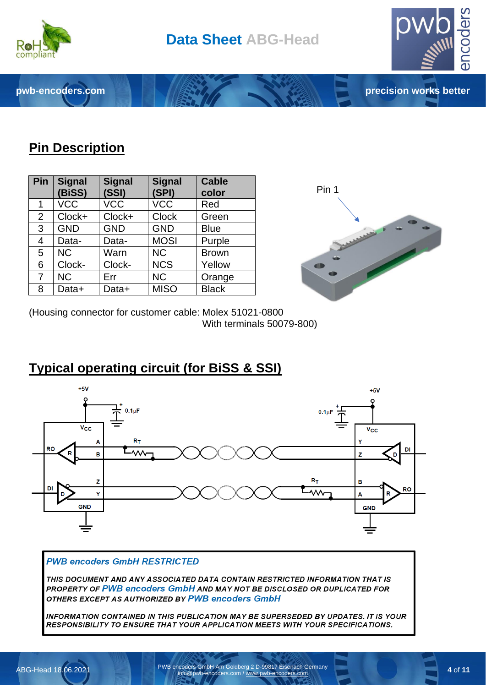

**pwb-encoders.com precision works better**



# **Pin Description**

| Pin            | <b>Signal</b><br>(BiSS) | <b>Signal</b><br>(SSI) | <b>Signal</b><br>(SPI) | <b>Cable</b><br>color |
|----------------|-------------------------|------------------------|------------------------|-----------------------|
| 1              | <b>VCC</b>              | <b>VCC</b>             | <b>VCC</b>             | Red                   |
| $\overline{2}$ | Clock+                  | Clock+                 | <b>Clock</b>           | Green                 |
| 3              | <b>GND</b>              | <b>GND</b>             | <b>GND</b>             | <b>Blue</b>           |
| $\overline{4}$ | Data-                   | Data-                  | <b>MOSI</b>            | Purple                |
| 5              | <b>NC</b>               | Warn                   | <b>NC</b>              | <b>Brown</b>          |
| 6              | Clock-                  | Clock-                 | <b>NCS</b>             | Yellow                |
| $\overline{7}$ | <b>NC</b>               | Err                    | <b>NC</b>              | Orange                |
| 8              | Data+                   | Data+                  | <b>MISO</b>            | <b>Black</b>          |



(Housing connector for customer cable: Molex 51021-0800 With terminals 50079-800)

# **Typical operating circuit (for BiSS & SSI)**



#### **PWB encoders GmbH RESTRICTED**

THIS DOCUMENT AND ANY ASSOCIATED DATA CONTAIN RESTRICTED INFORMATION THAT IS PROPERTY OF PWB encoders GmbH AND MAY NOT BE DISCLOSED OR DUPLICATED FOR OTHERS EXCEPT AS AUTHORIZED BY PWB encoders GmbH

INFORMATION CONTAINED IN THIS PUBLICATION MAY BE SUPERSEDED BY UPDATES. IT IS YOUR RESPONSIBILITY TO ENSURE THAT YOUR APPLICATION MEETS WITH YOUR SPECIFICATIONS.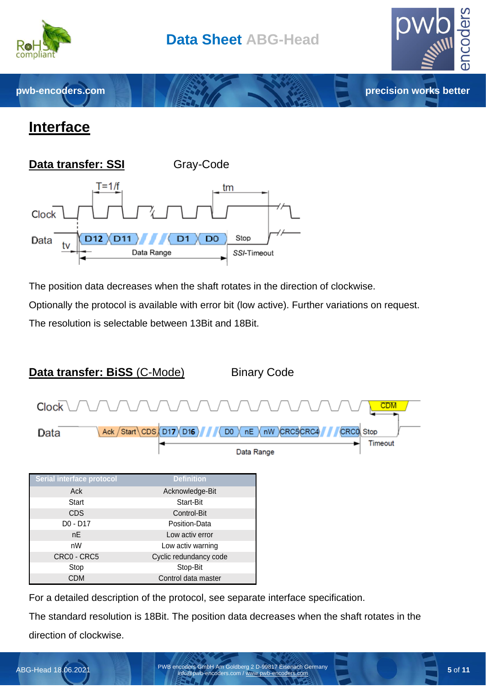

**pwb-encoders.com precision works better** 



# **Interface**



The position data decreases when the shaft rotates in the direction of clockwise.

Optionally the protocol is available with error bit (low active). Further variations on request.

The resolution is selectable between 13Bit and 18Bit.



For a detailed description of the protocol, see separate interface specification.

The standard resolution is 18Bit. The position data decreases when the shaft rotates in the direction of clockwise.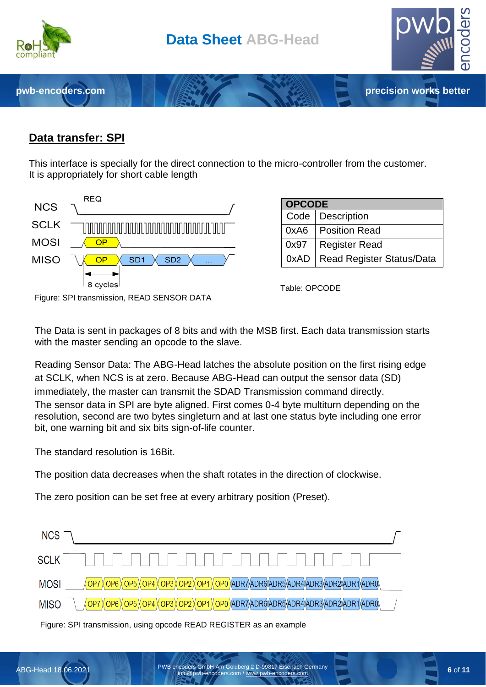

#### **Data transfer: SPI**

This interface is specially for the direct connection to the micro-controller from the customer. It is appropriately for short cable length



| <b>OPCODE</b> |                                  |  |  |  |
|---------------|----------------------------------|--|--|--|
|               | Code   Description               |  |  |  |
| 0xA6          | <b>Position Read</b>             |  |  |  |
| 0x97          | <b>Register Read</b>             |  |  |  |
| 0xAD          | <b>Read Register Status/Data</b> |  |  |  |

Table: OPCODE

The Data is sent in packages of 8 bits and with the MSB first. Each data transmission starts with the master sending an opcode to the slave.

Reading Sensor Data: The ABG-Head latches the absolute position on the first rising edge at SCLK, when NCS is at zero. Because ABG-Head can output the sensor data (SD) immediately, the master can transmit the SDAD Transmission command directly. The sensor data in SPI are byte aligned. First comes 0-4 byte multiturn depending on the resolution, second are two bytes singleturn and at last one status byte including one error bit, one warning bit and six bits sign-of-life counter.

The standard resolution is 16Bit.

The position data decreases when the shaft rotates in the direction of clockwise.

The zero position can be set free at every arbitrary position (Preset).



Figure: SPI transmission, using opcode READ REGISTER as an example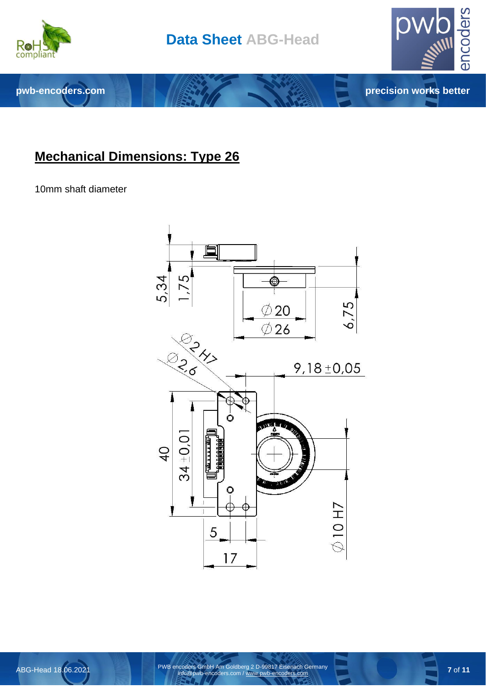



# **Mechanical Dimensions: Type 26**

10mm shaft diameter



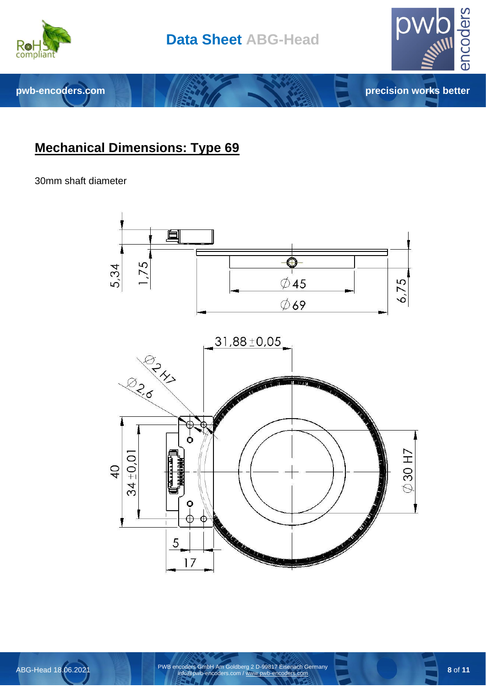



#### **Mechanical Dimensions: Type 69**

#### 30mm shaft diameter

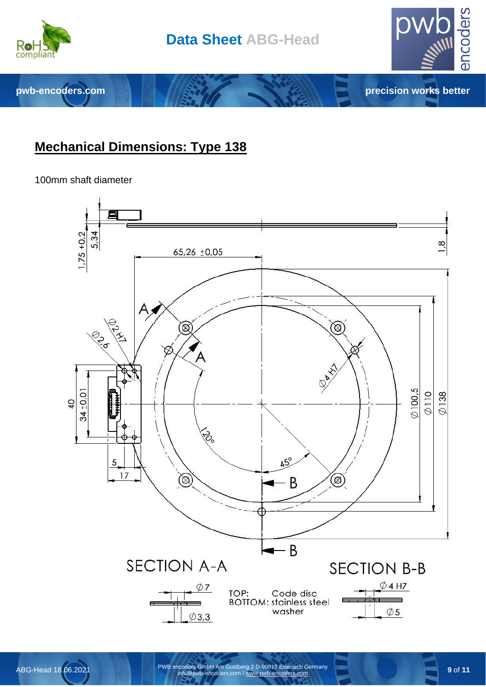

**pwb-encoders.com precision works better** 



100mm shaft diameter



encoders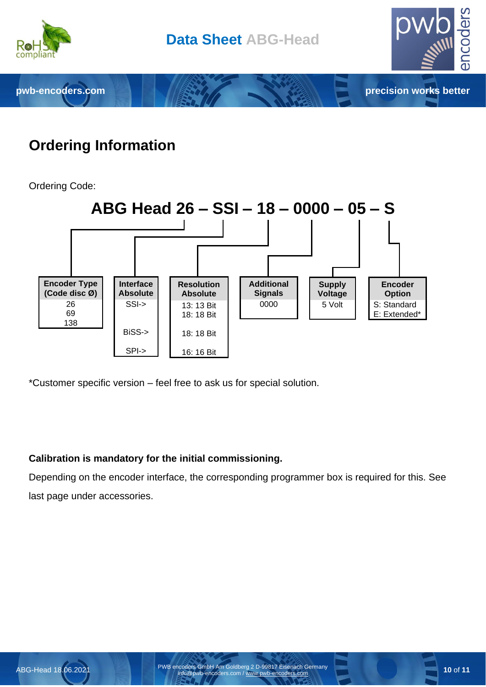

# **Ordering Information**

Ordering Code:



\*Customer specific version – feel free to ask us for special solution.

#### **Calibration is mandatory for the initial commissioning.**

Depending on the encoder interface, the corresponding programmer box is required for this. See last page under accessories.